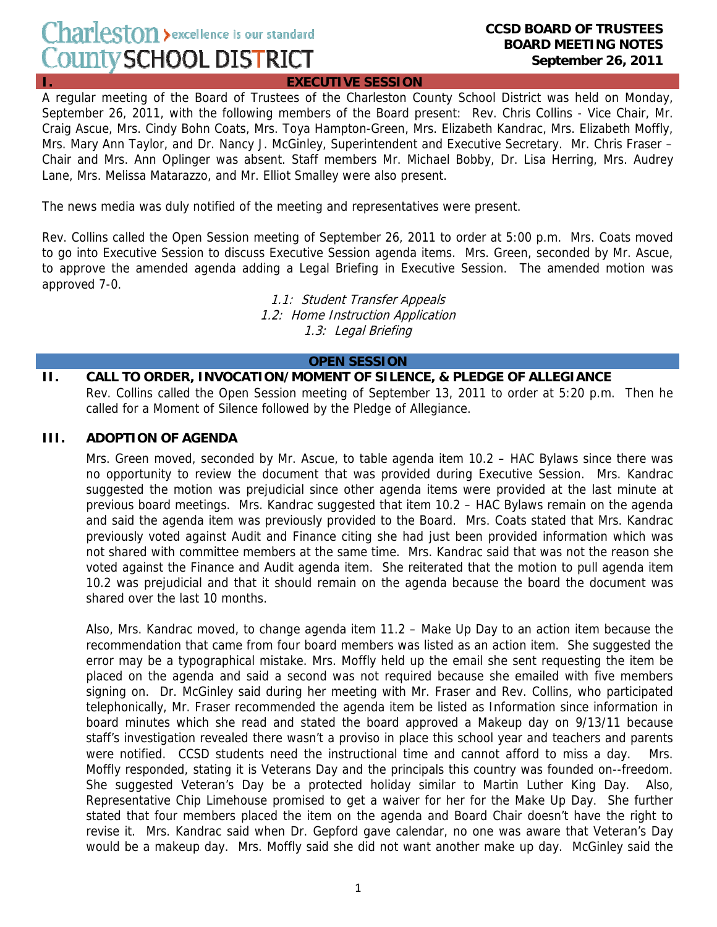# Charleston > excellence is our standard County SCHOOL DISTRICT

#### **CCSD BOARD OF TRUSTEES BOARD MEETING NOTES September 26, 2011**

**I. EXECUTIVE SESSION**

A regular meeting of the Board of Trustees of the Charleston County School District was held on Monday, September 26, 2011, with the following members of the Board present: Rev. Chris Collins - Vice Chair, Mr. Craig Ascue, Mrs. Cindy Bohn Coats, Mrs. Toya Hampton-Green, Mrs. Elizabeth Kandrac, Mrs. Elizabeth Moffly, Mrs. Mary Ann Taylor, and Dr. Nancy J. McGinley, Superintendent and Executive Secretary. Mr. Chris Fraser – Chair and Mrs. Ann Oplinger was absent. Staff members Mr. Michael Bobby, Dr. Lisa Herring, Mrs. Audrey Lane, Mrs. Melissa Matarazzo, and Mr. Elliot Smalley were also present.

The news media was duly notified of the meeting and representatives were present.

Rev. Collins called the Open Session meeting of September 26, 2011 to order at 5:00 p.m. Mrs. Coats moved to go into Executive Session to discuss Executive Session agenda items. Mrs. Green, seconded by Mr. Ascue, to approve the amended agenda adding a Legal Briefing in Executive Session. The amended motion was approved 7-0.

> 1.1: Student Transfer Appeals 1.2: Home Instruction Application 1.3: Legal Briefing

#### **OPEN SESSION**

# **II. CALL TO ORDER, INVOCATION/MOMENT OF SILENCE, & PLEDGE OF ALLEGIANCE**

Rev. Collins called the Open Session meeting of September 13, 2011 to order at 5:20 p.m. Then he called for a Moment of Silence followed by the Pledge of Allegiance.

## **III. ADOPTION OF AGENDA**

Mrs. Green moved, seconded by Mr. Ascue, to table agenda item 10.2 – HAC Bylaws since there was no opportunity to review the document that was provided during Executive Session. Mrs. Kandrac suggested the motion was prejudicial since other agenda items were provided at the last minute at previous board meetings. Mrs. Kandrac suggested that item 10.2 – HAC Bylaws remain on the agenda and said the agenda item was previously provided to the Board. Mrs. Coats stated that Mrs. Kandrac previously voted against Audit and Finance citing she had just been provided information which was not shared with committee members at the same time. Mrs. Kandrac said that was not the reason she voted against the Finance and Audit agenda item. She reiterated that the motion to pull agenda item 10.2 was prejudicial and that it should remain on the agenda because the board the document was shared over the last 10 months.

Also, Mrs. Kandrac moved, to change agenda item 11.2 – Make Up Day to an action item because the recommendation that came from four board members was listed as an action item. She suggested the error may be a typographical mistake. Mrs. Moffly held up the email she sent requesting the item be placed on the agenda and said a second was not required because she emailed with five members signing on. Dr. McGinley said during her meeting with Mr. Fraser and Rev. Collins, who participated telephonically, Mr. Fraser recommended the agenda item be listed as Information since information in board minutes which she read and stated the board approved a Makeup day on 9/13/11 because staff's investigation revealed there wasn't a proviso in place this school year and teachers and parents were notified. CCSD students need the instructional time and cannot afford to miss a day. Mrs. Moffly responded, stating it is Veterans Day and the principals this country was founded on--freedom. She suggested Veteran's Day be a protected holiday similar to Martin Luther King Day. Also, Representative Chip Limehouse promised to get a waiver for her for the Make Up Day. She further stated that four members placed the item on the agenda and Board Chair doesn't have the right to revise it. Mrs. Kandrac said when Dr. Gepford gave calendar, no one was aware that Veteran's Day would be a makeup day. Mrs. Moffly said she did not want another make up day. McGinley said the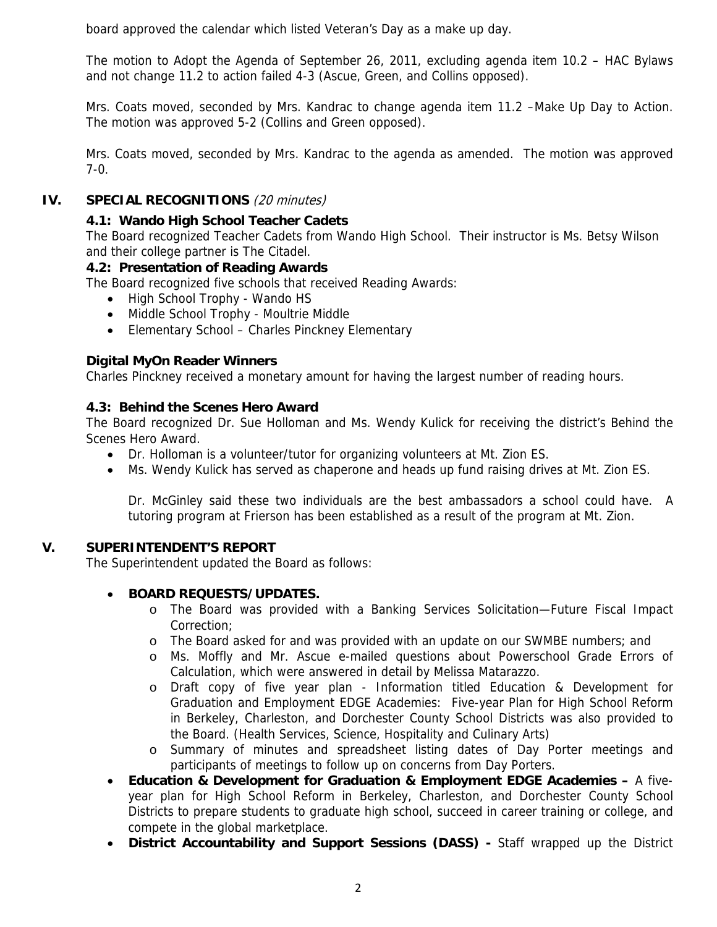board approved the calendar which listed Veteran's Day as a make up day.

The motion to Adopt the Agenda of September 26, 2011, excluding agenda item 10.2 – HAC Bylaws and not change 11.2 to action failed 4-3 (Ascue, Green, and Collins opposed).

Mrs. Coats moved, seconded by Mrs. Kandrac to change agenda item 11.2 –Make Up Day to Action. The motion was approved 5-2 (Collins and Green opposed).

Mrs. Coats moved, seconded by Mrs. Kandrac to the agenda as amended. The motion was approved 7-0.

## **IV. SPECIAL RECOGNITIONS** (20 minutes)

## **4.1: Wando High School Teacher Cadets**

The Board recognized Teacher Cadets from Wando High School. Their instructor is Ms. Betsy Wilson and their college partner is The Citadel.

## **4.2: Presentation of Reading Awards**

The Board recognized five schools that received Reading Awards:

- High School Trophy Wando HS
- Middle School Trophy Moultrie Middle
- Elementary School Charles Pinckney Elementary

## **Digital MyOn Reader Winners**

Charles Pinckney received a monetary amount for having the largest number of reading hours.

## **4.3: Behind the Scenes Hero Award**

The Board recognized Dr. Sue Holloman and Ms. Wendy Kulick for receiving the district's Behind the Scenes Hero Award.

- Dr. Holloman is a volunteer/tutor for organizing volunteers at Mt. Zion ES.
- Ms. Wendy Kulick has served as chaperone and heads up fund raising drives at Mt. Zion ES.

Dr. McGinley said these two individuals are the best ambassadors a school could have. A tutoring program at Frierson has been established as a result of the program at Mt. Zion.

## **V. SUPERINTENDENT'S REPORT**

The Superintendent updated the Board as follows:

## • **BOARD REQUESTS/UPDATES.**

- o The Board was provided with a Banking Services Solicitation—Future Fiscal Impact Correction;
- o The Board asked for and was provided with an update on our SWMBE numbers; and
- o Ms. Moffly and Mr. Ascue e-mailed questions about Powerschool Grade Errors of Calculation, which were answered in detail by Melissa Matarazzo.
- o Draft copy of five year plan Information titled Education & Development for Graduation and Employment EDGE Academies: Five-year Plan for High School Reform in Berkeley, Charleston, and Dorchester County School Districts was also provided to the Board. (Health Services, Science, Hospitality and Culinary Arts)
- o Summary of minutes and spreadsheet listing dates of Day Porter meetings and participants of meetings to follow up on concerns from Day Porters.
- **Education & Development for Graduation & Employment EDGE Academies** A fiveyear plan for High School Reform in Berkeley, Charleston, and Dorchester County School Districts to prepare students to graduate high school, succeed in career training or college, and compete in the global marketplace.
- **District Accountability and Support Sessions (DASS)** Staff wrapped up the District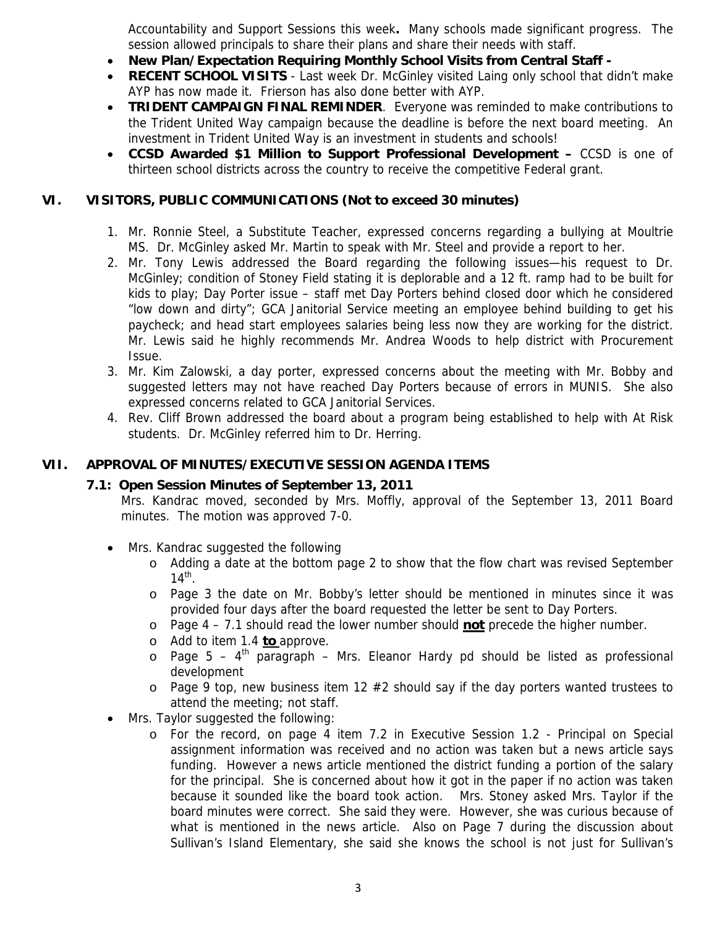Accountability and Support Sessions this week**.** Many schools made significant progress. The session allowed principals to share their plans and share their needs with staff.

- **New Plan/Expectation Requiring Monthly School Visits from Central Staff -**
- **RECENT SCHOOL VISITS**  Last week Dr. McGinley visited Laing only school that didn't make AYP has now made it. Frierson has also done better with AYP.
- **TRIDENT CAMPAIGN FINAL REMINDER**. Everyone was reminded to make contributions to the Trident United Way campaign because the deadline is before the next board meeting. An investment in Trident United Way is an investment in students and schools!
- **CCSD Awarded \$1 Million to Support Professional Development** CCSD is one of thirteen school districts across the country to receive the competitive Federal grant.

## **VI. VISITORS, PUBLIC COMMUNICATIONS (Not to exceed 30 minutes)**

- 1. Mr. Ronnie Steel, a Substitute Teacher, expressed concerns regarding a bullying at Moultrie MS. Dr. McGinley asked Mr. Martin to speak with Mr. Steel and provide a report to her.
- 2. Mr. Tony Lewis addressed the Board regarding the following issues—his request to Dr. McGinley; condition of Stoney Field stating it is deplorable and a 12 ft. ramp had to be built for kids to play; Day Porter issue – staff met Day Porters behind closed door which he considered "low down and dirty"; GCA Janitorial Service meeting an employee behind building to get his paycheck; and head start employees salaries being less now they are working for the district. Mr. Lewis said he highly recommends Mr. Andrea Woods to help district with Procurement Issue.
- 3. Mr. Kim Zalowski, a day porter, expressed concerns about the meeting with Mr. Bobby and suggested letters may not have reached Day Porters because of errors in MUNIS. She also expressed concerns related to GCA Janitorial Services.
- 4. Rev. Cliff Brown addressed the board about a program being established to help with At Risk students. Dr. McGinley referred him to Dr. Herring.

# **VII. APPROVAL OF MINUTES/EXECUTIVE SESSION AGENDA ITEMS**

## **7.1: Open Session Minutes of September 13, 2011**

Mrs. Kandrac moved, seconded by Mrs. Moffly, approval of the September 13, 2011 Board minutes. The motion was approved 7-0.

- Mrs. Kandrac suggested the following
	- o Adding a date at the bottom page 2 to show that the flow chart was revised September  $14^{\text{th}}$ .
	- o Page 3 the date on Mr. Bobby's letter should be mentioned in minutes since it was provided four days after the board requested the letter be sent to Day Porters.
	- o Page 4 7.1 should read the lower number should **not** precede the higher number.
	- o Add to item 1.4 **to** approve.
	- $\circ$  Page 5 4<sup>th</sup> paragraph Mrs. Eleanor Hardy pd should be listed as professional development
	- $\circ$  Page 9 top, new business item 12 #2 should say if the day porters wanted trustees to attend the meeting; not staff.
- Mrs. Taylor suggested the following:
	- o For the record, on page 4 item 7.2 in Executive Session 1.2 Principal on Special assignment information was received and no action was taken but a news article says funding. However a news article mentioned the district funding a portion of the salary for the principal. She is concerned about how it got in the paper if no action was taken because it sounded like the board took action. Mrs. Stoney asked Mrs. Taylor if the board minutes were correct. She said they were. However, she was curious because of what is mentioned in the news article. Also on Page 7 during the discussion about Sullivan's Island Elementary, she said she knows the school is not just for Sullivan's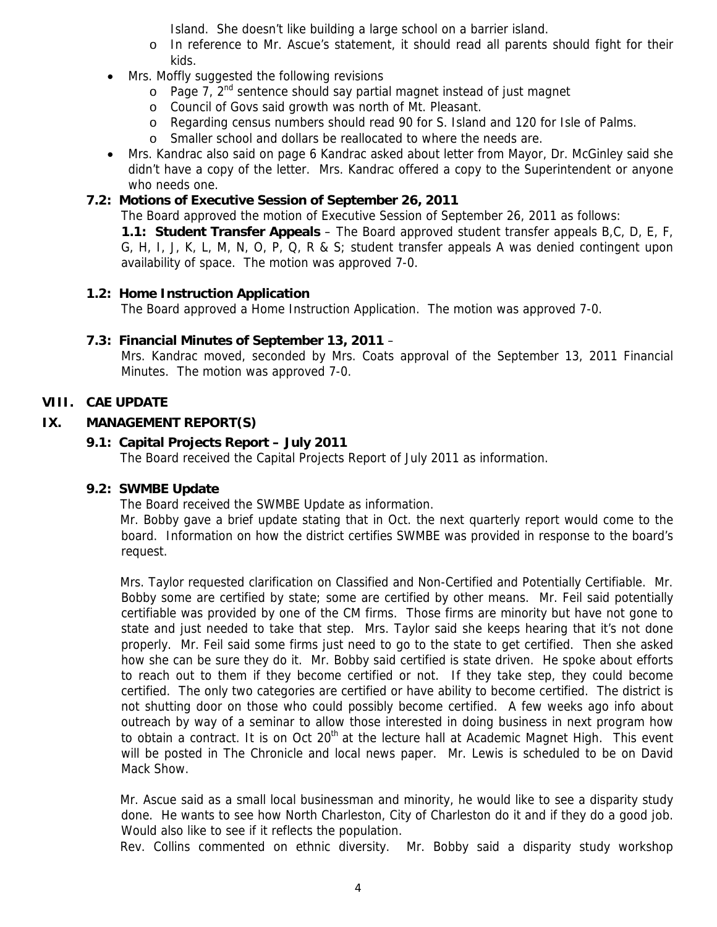Island. She doesn't like building a large school on a barrier island.

- o In reference to Mr. Ascue's statement, it should read all parents should fight for their kids.
- Mrs. Moffly suggested the following revisions
	- $\circ$  Page 7,  $2^{nd}$  sentence should say partial magnet instead of just magnet
	- o Council of Govs said growth was north of Mt. Pleasant.
	- o Regarding census numbers should read 90 for S. Island and 120 for Isle of Palms.
	- o Smaller school and dollars be reallocated to where the needs are.
- Mrs. Kandrac also said on page 6 Kandrac asked about letter from Mayor, Dr. McGinley said she didn't have a copy of the letter. Mrs. Kandrac offered a copy to the Superintendent or anyone who needs one.

# **7.2: Motions of Executive Session of September 26, 2011**

The Board approved the motion of Executive Session of September 26, 2011 as follows:

**1.1: Student Transfer Appeals** – The Board approved student transfer appeals B,C, D, E, F, G, H, I, J, K, L, M, N, O, P, Q, R & S; student transfer appeals A was denied contingent upon availability of space. The motion was approved 7-0.

# **1.2: Home Instruction Application**

The Board approved a Home Instruction Application. The motion was approved 7-0.

# **7.3: Financial Minutes of September 13, 2011** –

Mrs. Kandrac moved, seconded by Mrs. Coats approval of the September 13, 2011 Financial Minutes. The motion was approved 7-0.

# **VIII. CAE UPDATE**

# **IX. MANAGEMENT REPORT(S)**

# **9.1: Capital Projects Report – July 2011**

The Board received the Capital Projects Report of July 2011 as information.

# **9.2: SWMBE Update**

The Board received the SWMBE Update as information.

Mr. Bobby gave a brief update stating that in Oct. the next quarterly report would come to the board. Information on how the district certifies SWMBE was provided in response to the board's request.

Mrs. Taylor requested clarification on Classified and Non-Certified and Potentially Certifiable. Mr. Bobby some are certified by state; some are certified by other means. Mr. Feil said potentially certifiable was provided by one of the CM firms. Those firms are minority but have not gone to state and just needed to take that step. Mrs. Taylor said she keeps hearing that it's not done properly. Mr. Feil said some firms just need to go to the state to get certified. Then she asked how she can be sure they do it. Mr. Bobby said certified is state driven. He spoke about efforts to reach out to them if they become certified or not. If they take step, they could become certified. The only two categories are certified or have ability to become certified. The district is not shutting door on those who could possibly become certified. A few weeks ago info about outreach by way of a seminar to allow those interested in doing business in next program how to obtain a contract. It is on Oct  $20<sup>th</sup>$  at the lecture hall at Academic Magnet High. This event will be posted in The Chronicle and local news paper. Mr. Lewis is scheduled to be on David Mack Show.

Mr. Ascue said as a small local businessman and minority, he would like to see a disparity study done. He wants to see how North Charleston, City of Charleston do it and if they do a good job. Would also like to see if it reflects the population.

Rev. Collins commented on ethnic diversity. Mr. Bobby said a disparity study workshop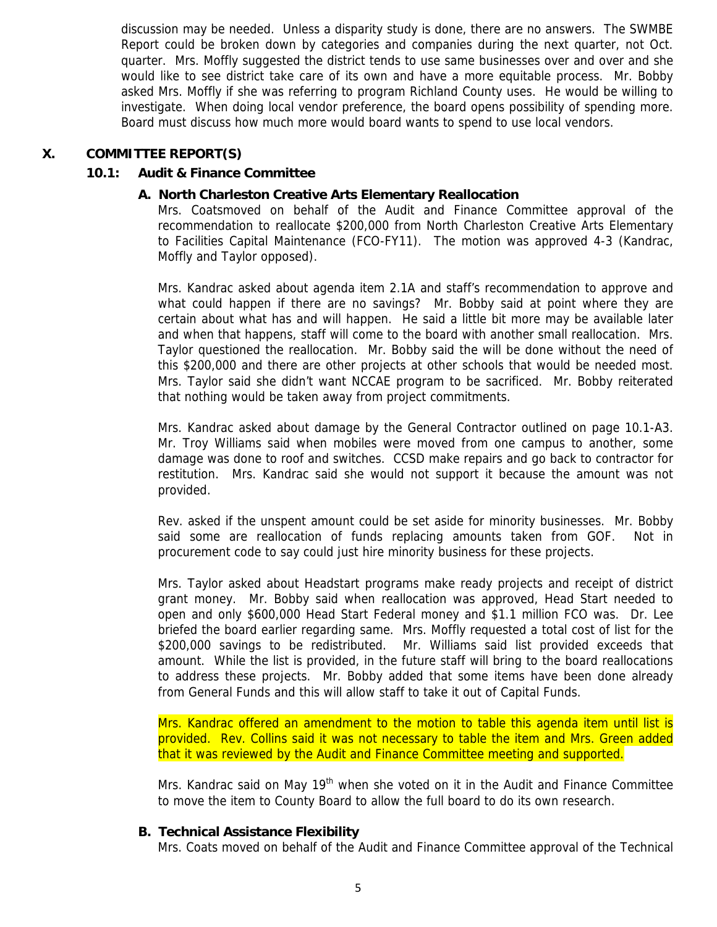discussion may be needed. Unless a disparity study is done, there are no answers. The SWMBE Report could be broken down by categories and companies during the next quarter, not Oct. quarter. Mrs. Moffly suggested the district tends to use same businesses over and over and she would like to see district take care of its own and have a more equitable process. Mr. Bobby asked Mrs. Moffly if she was referring to program Richland County uses. He would be willing to investigate. When doing local vendor preference, the board opens possibility of spending more. Board must discuss how much more would board wants to spend to use local vendors.

## **X. COMMITTEE REPORT(S)**

## **10.1: Audit & Finance Committee**

## **A. North Charleston Creative Arts Elementary Reallocation**

Mrs. Coatsmoved on behalf of the Audit and Finance Committee approval of the recommendation to reallocate \$200,000 from North Charleston Creative Arts Elementary to Facilities Capital Maintenance (FCO-FY11). The motion was approved 4-3 (Kandrac, Moffly and Taylor opposed).

Mrs. Kandrac asked about agenda item 2.1A and staff's recommendation to approve and what could happen if there are no savings? Mr. Bobby said at point where they are certain about what has and will happen. He said a little bit more may be available later and when that happens, staff will come to the board with another small reallocation. Mrs. Taylor questioned the reallocation. Mr. Bobby said the will be done without the need of this \$200,000 and there are other projects at other schools that would be needed most. Mrs. Taylor said she didn't want NCCAE program to be sacrificed. Mr. Bobby reiterated that nothing would be taken away from project commitments.

Mrs. Kandrac asked about damage by the General Contractor outlined on page 10.1-A3. Mr. Troy Williams said when mobiles were moved from one campus to another, some damage was done to roof and switches. CCSD make repairs and go back to contractor for restitution. Mrs. Kandrac said she would not support it because the amount was not provided.

Rev. asked if the unspent amount could be set aside for minority businesses. Mr. Bobby said some are reallocation of funds replacing amounts taken from GOF. Not in procurement code to say could just hire minority business for these projects.

Mrs. Taylor asked about Headstart programs make ready projects and receipt of district grant money. Mr. Bobby said when reallocation was approved, Head Start needed to open and only \$600,000 Head Start Federal money and \$1.1 million FCO was. Dr. Lee briefed the board earlier regarding same. Mrs. Moffly requested a total cost of list for the \$200,000 savings to be redistributed. Mr. Williams said list provided exceeds that amount. While the list is provided, in the future staff will bring to the board reallocations to address these projects. Mr. Bobby added that some items have been done already from General Funds and this will allow staff to take it out of Capital Funds.

Mrs. Kandrac offered an amendment to the motion to table this agenda item until list is provided. Rev. Collins said it was not necessary to table the item and Mrs. Green added that it was reviewed by the Audit and Finance Committee meeting and supported.

Mrs. Kandrac said on May 19<sup>th</sup> when she voted on it in the Audit and Finance Committee to move the item to County Board to allow the full board to do its own research.

## **B. Technical Assistance Flexibility**

Mrs. Coats moved on behalf of the Audit and Finance Committee approval of the Technical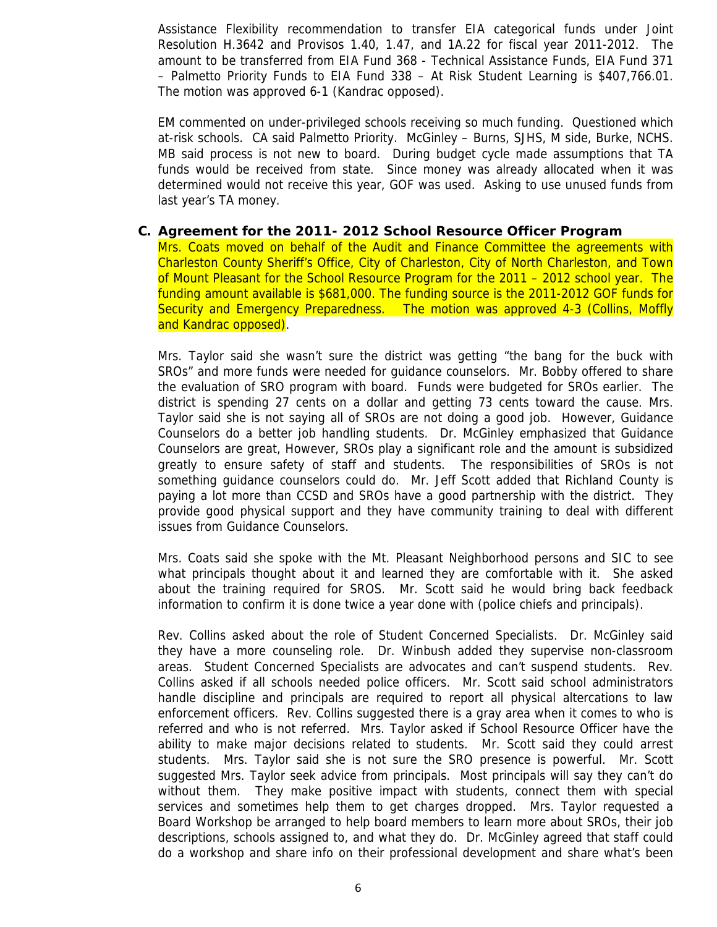Assistance Flexibility recommendation to transfer EIA categorical funds under Joint Resolution H.3642 and Provisos 1.40, 1.47, and 1A.22 for fiscal year 2011-2012. The amount to be transferred from EIA Fund 368 - Technical Assistance Funds, EIA Fund 371 – Palmetto Priority Funds to EIA Fund 338 – At Risk Student Learning is \$407,766.01. The motion was approved 6-1 (Kandrac opposed).

EM commented on under-privileged schools receiving so much funding. Questioned which at-risk schools. CA said Palmetto Priority. McGinley – Burns, SJHS, M side, Burke, NCHS. MB said process is not new to board. During budget cycle made assumptions that TA funds would be received from state. Since money was already allocated when it was determined would not receive this year, GOF was used. Asking to use unused funds from last year's TA money.

#### **C. Agreement for the 2011- 2012 School Resource Officer Program**

Mrs. Coats moved on behalf of the Audit and Finance Committee the agreements with Charleston County Sheriff's Office, City of Charleston, City of North Charleston, and Town of Mount Pleasant for the School Resource Program for the 2011 – 2012 school year. The funding amount available is \$681,000. The funding source is the 2011-2012 GOF funds for Security and Emergency Preparedness. The motion was approved 4-3 (Collins, Moffly and Kandrac opposed).

Mrs. Taylor said she wasn't sure the district was getting "the bang for the buck with SROs" and more funds were needed for guidance counselors. Mr. Bobby offered to share the evaluation of SRO program with board. Funds were budgeted for SROs earlier. The district is spending 27 cents on a dollar and getting 73 cents toward the cause. Mrs. Taylor said she is not saying all of SROs are not doing a good job. However, Guidance Counselors do a better job handling students. Dr. McGinley emphasized that Guidance Counselors are great, However, SROs play a significant role and the amount is subsidized greatly to ensure safety of staff and students. The responsibilities of SROs is not something guidance counselors could do. Mr. Jeff Scott added that Richland County is paying a lot more than CCSD and SROs have a good partnership with the district. They provide good physical support and they have community training to deal with different issues from Guidance Counselors.

Mrs. Coats said she spoke with the Mt. Pleasant Neighborhood persons and SIC to see what principals thought about it and learned they are comfortable with it. She asked about the training required for SROS. Mr. Scott said he would bring back feedback information to confirm it is done twice a year done with (police chiefs and principals).

Rev. Collins asked about the role of Student Concerned Specialists. Dr. McGinley said they have a more counseling role. Dr. Winbush added they supervise non-classroom areas. Student Concerned Specialists are advocates and can't suspend students. Rev. Collins asked if all schools needed police officers. Mr. Scott said school administrators handle discipline and principals are required to report all physical altercations to law enforcement officers. Rev. Collins suggested there is a gray area when it comes to who is referred and who is not referred. Mrs. Taylor asked if School Resource Officer have the ability to make major decisions related to students. Mr. Scott said they could arrest students. Mrs. Taylor said she is not sure the SRO presence is powerful. Mr. Scott suggested Mrs. Taylor seek advice from principals. Most principals will say they can't do without them. They make positive impact with students, connect them with special services and sometimes help them to get charges dropped. Mrs. Taylor requested a Board Workshop be arranged to help board members to learn more about SROs, their job descriptions, schools assigned to, and what they do. Dr. McGinley agreed that staff could do a workshop and share info on their professional development and share what's been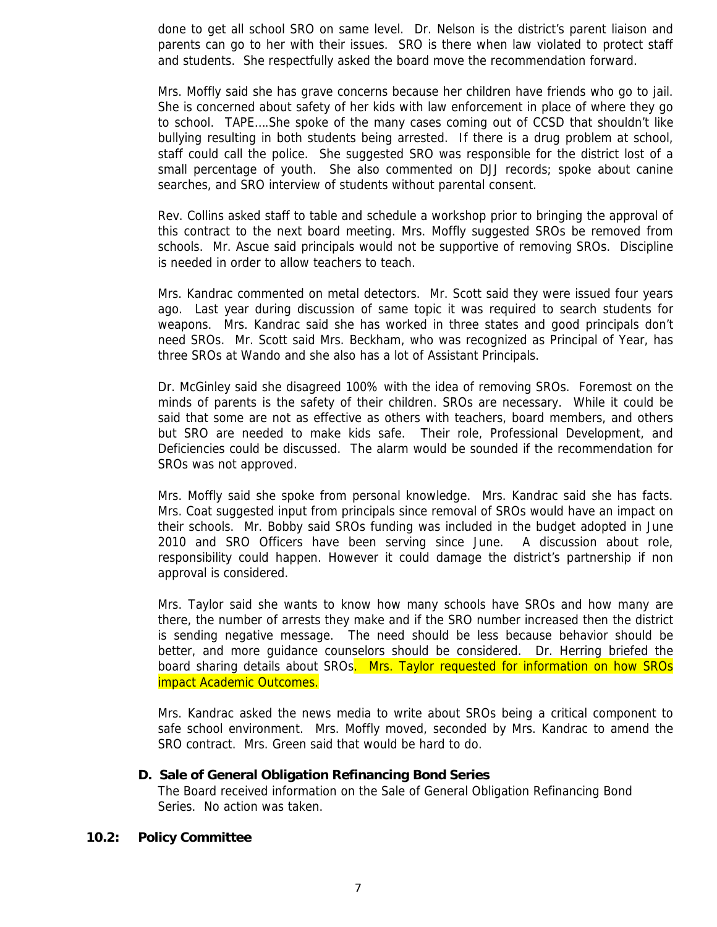done to get all school SRO on same level. Dr. Nelson is the district's parent liaison and parents can go to her with their issues. SRO is there when law violated to protect staff and students. She respectfully asked the board move the recommendation forward.

Mrs. Moffly said she has grave concerns because her children have friends who go to jail. She is concerned about safety of her kids with law enforcement in place of where they go to school. TAPE….She spoke of the many cases coming out of CCSD that shouldn't like bullying resulting in both students being arrested. If there is a drug problem at school, staff could call the police. She suggested SRO was responsible for the district lost of a small percentage of youth. She also commented on DJJ records; spoke about canine searches, and SRO interview of students without parental consent.

Rev. Collins asked staff to table and schedule a workshop prior to bringing the approval of this contract to the next board meeting. Mrs. Moffly suggested SROs be removed from schools. Mr. Ascue said principals would not be supportive of removing SROs. Discipline is needed in order to allow teachers to teach.

Mrs. Kandrac commented on metal detectors. Mr. Scott said they were issued four years ago. Last year during discussion of same topic it was required to search students for weapons. Mrs. Kandrac said she has worked in three states and good principals don't need SROs. Mr. Scott said Mrs. Beckham, who was recognized as Principal of Year, has three SROs at Wando and she also has a lot of Assistant Principals.

Dr. McGinley said she disagreed 100% with the idea of removing SROs. Foremost on the minds of parents is the safety of their children. SROs are necessary. While it could be said that some are not as effective as others with teachers, board members, and others but SRO are needed to make kids safe. Their role, Professional Development, and Deficiencies could be discussed. The alarm would be sounded if the recommendation for SROs was not approved.

Mrs. Moffly said she spoke from personal knowledge. Mrs. Kandrac said she has facts. Mrs. Coat suggested input from principals since removal of SROs would have an impact on their schools. Mr. Bobby said SROs funding was included in the budget adopted in June 2010 and SRO Officers have been serving since June. A discussion about role, responsibility could happen. However it could damage the district's partnership if non approval is considered.

Mrs. Taylor said she wants to know how many schools have SROs and how many are there, the number of arrests they make and if the SRO number increased then the district is sending negative message. The need should be less because behavior should be better, and more guidance counselors should be considered. Dr. Herring briefed the board sharing details about SROs. Mrs. Taylor requested for information on how SROs impact Academic Outcomes.

Mrs. Kandrac asked the news media to write about SROs being a critical component to safe school environment. Mrs. Moffly moved, seconded by Mrs. Kandrac to amend the SRO contract. Mrs. Green said that would be hard to do.

#### **D. Sale of General Obligation Refinancing Bond Series**

The Board received information on the Sale of General Obligation Refinancing Bond Series. No action was taken.

#### **10.2: Policy Committee**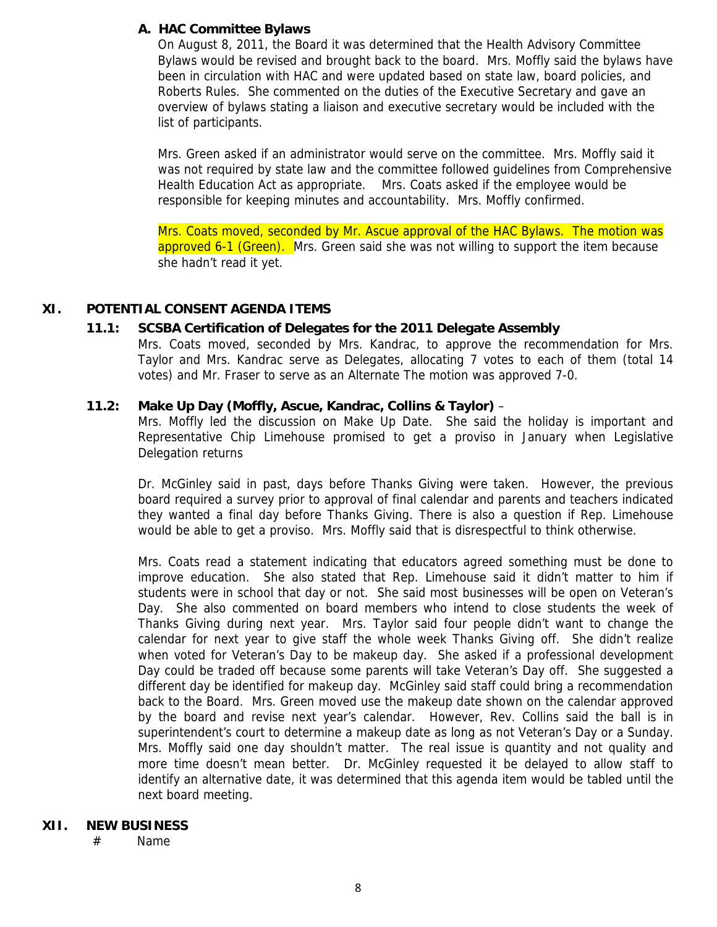## **A. HAC Committee Bylaws**

On August 8, 2011, the Board it was determined that the Health Advisory Committee Bylaws would be revised and brought back to the board. Mrs. Moffly said the bylaws have been in circulation with HAC and were updated based on state law, board policies, and Roberts Rules. She commented on the duties of the Executive Secretary and gave an overview of bylaws stating a liaison and executive secretary would be included with the list of participants.

Mrs. Green asked if an administrator would serve on the committee. Mrs. Moffly said it was not required by state law and the committee followed guidelines from Comprehensive Health Education Act as appropriate. Mrs. Coats asked if the employee would be responsible for keeping minutes and accountability. Mrs. Moffly confirmed.

Mrs. Coats moved, seconded by Mr. Ascue approval of the HAC Bylaws. The motion was approved 6-1 (Green). Mrs. Green said she was not willing to support the item because she hadn't read it yet.

## **XI. POTENTIAL CONSENT AGENDA ITEMS**

## **11.1: SCSBA Certification of Delegates for the 2011 Delegate Assembly**

Mrs. Coats moved, seconded by Mrs. Kandrac, to approve the recommendation for Mrs. Taylor and Mrs. Kandrac serve as Delegates, allocating 7 votes to each of them (total 14 votes) and Mr. Fraser to serve as an Alternate The motion was approved 7-0.

#### **11.2: Make Up Day (Moffly, Ascue, Kandrac, Collins & Taylor)** –

Mrs. Moffly led the discussion on Make Up Date. She said the holiday is important and Representative Chip Limehouse promised to get a proviso in January when Legislative Delegation returns

Dr. McGinley said in past, days before Thanks Giving were taken. However, the previous board required a survey prior to approval of final calendar and parents and teachers indicated they wanted a final day before Thanks Giving. There is also a question if Rep. Limehouse would be able to get a proviso. Mrs. Moffly said that is disrespectful to think otherwise.

Mrs. Coats read a statement indicating that educators agreed something must be done to improve education. She also stated that Rep. Limehouse said it didn't matter to him if students were in school that day or not. She said most businesses will be open on Veteran's Day. She also commented on board members who intend to close students the week of Thanks Giving during next year. Mrs. Taylor said four people didn't want to change the calendar for next year to give staff the whole week Thanks Giving off. She didn't realize when voted for Veteran's Day to be makeup day. She asked if a professional development Day could be traded off because some parents will take Veteran's Day off. She suggested a different day be identified for makeup day. McGinley said staff could bring a recommendation back to the Board. Mrs. Green moved use the makeup date shown on the calendar approved by the board and revise next year's calendar. However, Rev. Collins said the ball is in superintendent's court to determine a makeup date as long as not Veteran's Day or a Sunday. Mrs. Moffly said one day shouldn't matter. The real issue is quantity and not quality and more time doesn't mean better. Dr. McGinley requested it be delayed to allow staff to identify an alternative date, it was determined that this agenda item would be tabled until the next board meeting.

#### **XII. NEW BUSINESS**

# Name